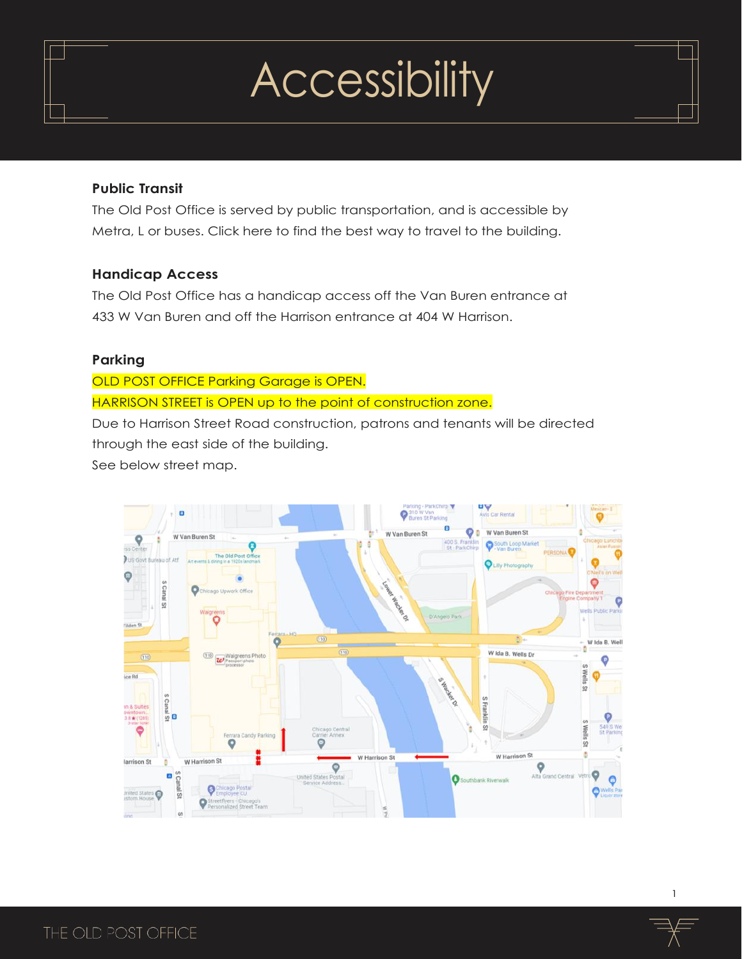### **Public Transit**

The Old Post Office is served by public transportation, and is accessible by Metra, L or buses. Click here to find the best way to travel to the building.

### **Handicap Access**

The Old Post Office has a handicap access off the Van Buren entrance at 433 W Van Buren and off the Harrison entrance at 404 W Harrison.

### **Parking**

OLD POST OFFICE Parking Garage is OPEN. HARRISON STREET is OPEN up to the point of construction zone. Due to Harrison Street Road construction, patrons and tenants will be directed

through the east side of the building.

See below street map.

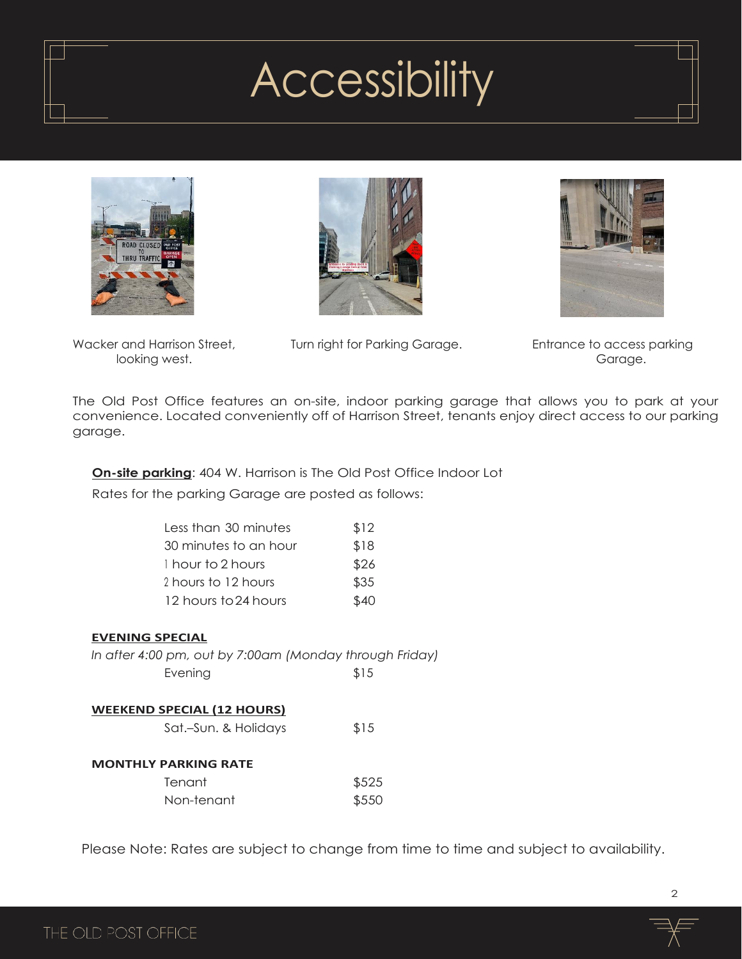





looking west. Garage.

Wacker and Harrison Street, Turn right for Parking Garage. Entrance to access parking

The Old Post Office features an on-site, indoor parking garage that allows you to park at your convenience. Located conveniently off of Harrison Street, tenants enjoy direct access to our parking garage.

## **On-site parking**: 404 W. Harrison is The Old Post Office Indoor Lot

Rates for the parking Garage are posted as follows:

| Less than 30 minutes  | \$12 |
|-----------------------|------|
| 30 minutes to an hour | \$18 |
| 1 hour to 2 hours     | \$26 |
| 2 hours to 12 hours   | \$35 |
| 12 hours to 24 hours  | \$40 |
|                       |      |

### **EVENING SPECIAL**

| In after 4:00 pm, out by 7:00am (Monday through Friday) |      |
|---------------------------------------------------------|------|
| Evening                                                 | \$15 |

#### **WEEKEND SPECIAL (12 HOURS)**

|                             | Sat.-Sun. & Holidays | \$15  |
|-----------------------------|----------------------|-------|
| <b>MONTHLY PARKING RATE</b> |                      |       |
| Tenant                      |                      | \$525 |
| Non-tenant                  |                      | \$550 |

Please Note: Rates are subject to change from time to time and subject to availability.

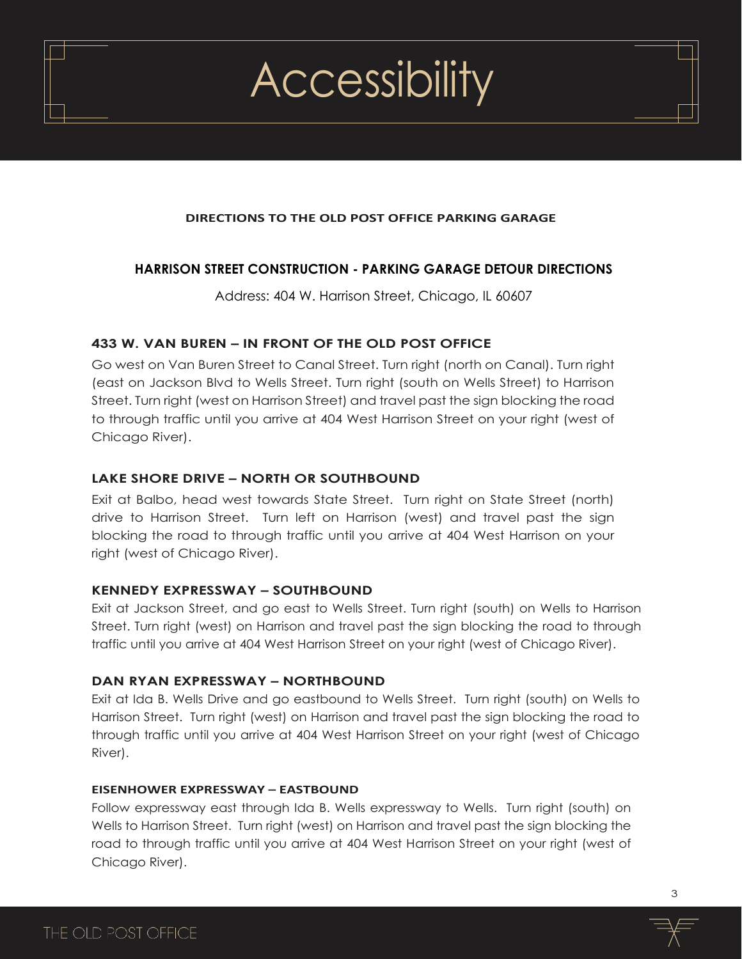#### **DIRECTIONS TO THE OLD POST OFFICE PARKING GARAGE**

### **HARRISON STREET CONSTRUCTION - PARKING GARAGE DETOUR DIRECTIONS**

Address: 404 W. Harrison Street, Chicago, IL 60607

#### **433 W. VAN BUREN – IN FRONT OF THE OLD POST OFFICE**

Go west on Van Buren Street to Canal Street. Turn right (north on Canal). Turn right (east on Jackson Blvd to Wells Street. Turn right (south on Wells Street) to Harrison Street. Turn right (west on Harrison Street) and travel past the sign blocking the road to through traffic until you arrive at 404 West Harrison Street on your right (west of Chicago River).

#### **LAKE SHORE DRIVE – NORTH OR SOUTHBOUND**

Exit at Balbo, head west towards State Street. Turn right on State Street (north) drive to Harrison Street. Turn left on Harrison (west) and travel past the sign blocking the road to through traffic until you arrive at 404 West Harrison on your right (west of Chicago River).

#### **KENNEDY EXPRESSWAY – SOUTHBOUND**

Exit at Jackson Street, and go east to Wells Street. Turn right (south) on Wells to Harrison Street. Turn right (west) on Harrison and travel past the sign blocking the road to through traffic until you arrive at 404 West Harrison Street on your right (west of Chicago River).

#### **DAN RYAN EXPRESSWAY – NORTHBOUND**

Exit at Ida B. Wells Drive and go eastbound to Wells Street. Turn right (south) on Wells to Harrison Street. Turn right (west) on Harrison and travel past the sign blocking the road to through traffic until you arrive at 404 West Harrison Street on your right (west of Chicago River).

#### **EISENHOWER EXPRESSWAY – EASTBOUND**

Follow expressway east through Ida B. Wells expressway to Wells. Turn right (south) on Wells to Harrison Street. Turn right (west) on Harrison and travel past the sign blocking the road to through traffic until you arrive at 404 West Harrison Street on your right (west of Chicago River).

3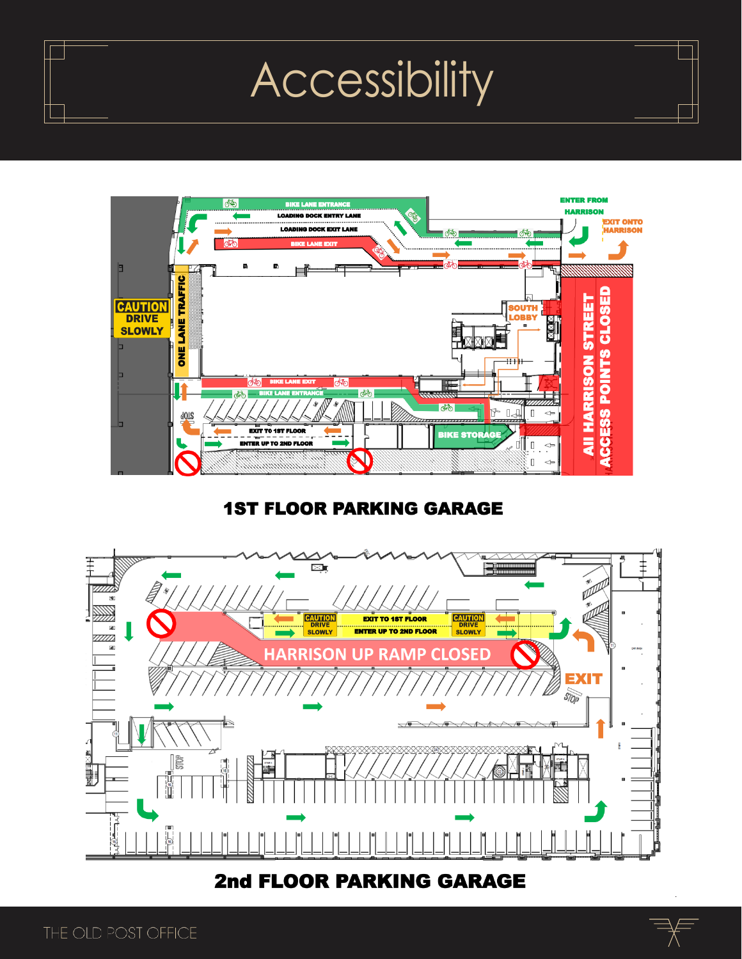

# **1ST FLOOR PARKING GARAGE**



**2nd FLOOR PARKING GARAGE** 

4